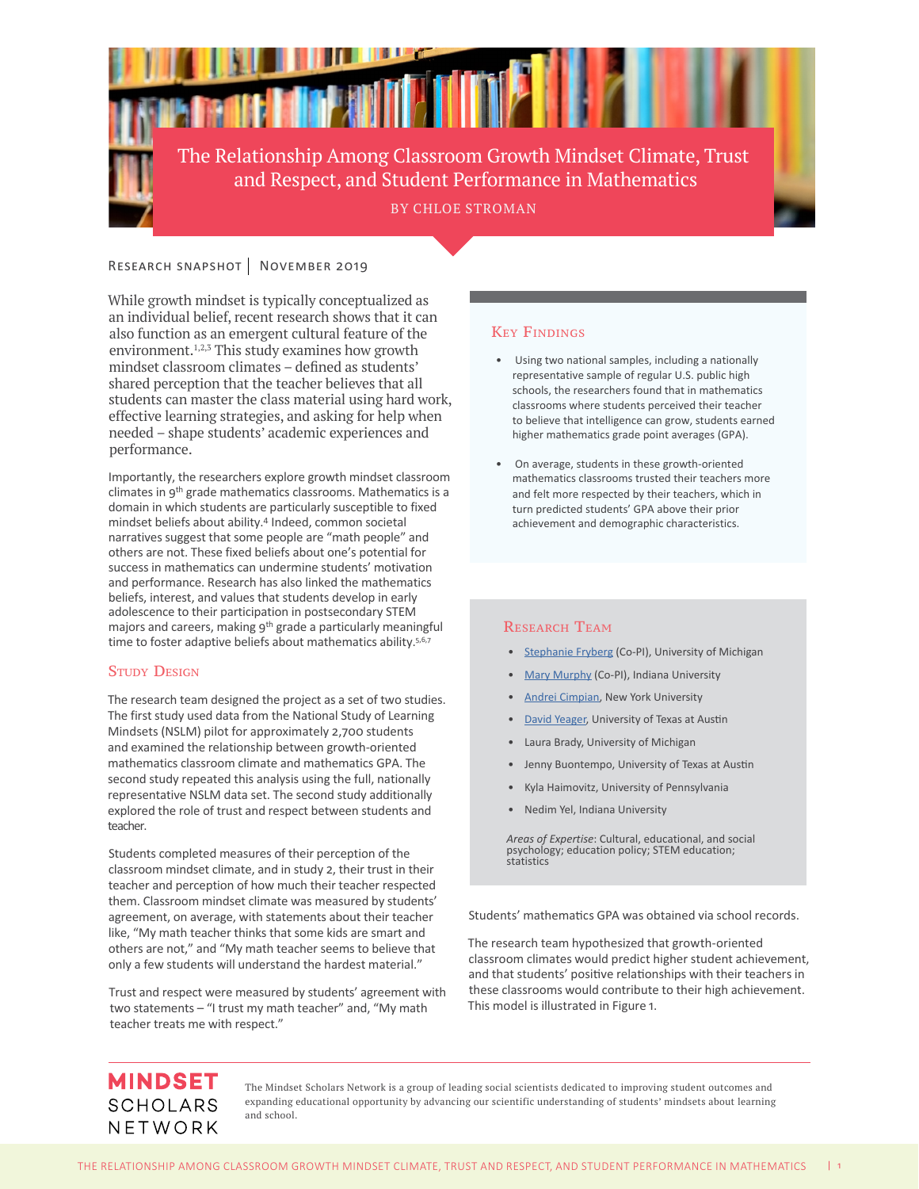

# RESEARCH SNAPSHOT NOVEMBER 2019

While growth mindset is typically conceptualized as an individual belief, recent research shows that it can also function as an emergent cultural feature of the environment.<sup>1,2,3</sup> This study examines how growth mindset classroom climates – defined as students' shared perception that the teacher believes that all students can master the class material using hard work, effective learning strategies, and asking for help when needed – shape students' academic experiences and performance.

Importantly, the researchers explore growth mindset classroom climates in 9<sup>th</sup> grade mathematics classrooms. Mathematics is a domain in which students are particularly susceptible to fixed mindset beliefs about ability.<sup>4</sup> Indeed, common societal narratives suggest that some people are "math people" and others are not. These fixed beliefs about one's potential for success in mathematics can undermine students' motivation and performance. Research has also linked the mathematics beliefs, interest, and values that students develop in early adolescence to their participation in postsecondary STEM majors and careers, making 9<sup>th</sup> grade a particularly meaningful time to foster adaptive beliefs about mathematics ability.<sup>5,6,7</sup>

## **STUDY DESIGN**

The research team designed the project as a set of two studies. The first study used data from the National Study of Learning Mindsets (NSLM) pilot for approximately 2,700 students and examined the relationship between growth-oriented mathematics classroom climate and mathematics GPA. The second study repeated this analysis using the full, nationally representative NSLM data set. The second study additionally explored the role of trust and respect between students and teacher.

Students completed measures of their perception of the classroom mindset climate, and in study 2, their trust in their teacher and perception of how much their teacher respected them. Classroom mindset climate was measured by students' agreement, on average, with statements about their teacher like, "My math teacher thinks that some kids are smart and others are not," and "My math teacher seems to believe that only a few students will understand the hardest material."

Trust and respect were measured by students' agreement with two statements – "I trust my math teacher" and, "My math teacher treats me with respect."

## Key Findings

- Using two national samples, including a nationally representative sample of regular U.S. public high schools, the researchers found that in mathematics classrooms where students perceived their teacher to believe that intelligence can grow, students earned higher mathematics grade point averages (GPA).
- On average, students in these growth-oriented mathematics classrooms trusted their teachers more and felt more respected by their teachers, which in turn predicted students' GPA above their prior achievement and demographic characteristics.

### RESEARCH TEAM

- [Stephanie Fryberg](https://mindsetscholarsnetwork.org/people/stephanie-fryberg/) (Co-PI), University of Michigan
- [Mary Murphy](https://mindsetscholarsnetwork.org/people/mary-murphy/) (Co-PI), Indiana University
- [Andrei Cimpian](https://mindsetscholarsnetwork.org/people/andrei-cimpian/), New York University
- [David Yeager,](https://mindsetscholarsnetwork.org/people/david-yeager/) University of Texas at Austin
- Laura Brady, University of Michigan
- Jenny Buontempo, University of Texas at Austin
- Kyla Haimovitz, University of Pennsylvania
- Nedim Yel, Indiana University

*Areas of Expertise*: Cultural, educational, and social psychology; education policy; STEM education; **statistics** 

Students' mathematics GPA was obtained via school records.

The research team hypothesized that growth-oriented classroom climates would predict higher student achievement, and that students' positive relationships with their teachers in these classrooms would contribute to their high achievement. This model is illustrated in Figure 1.

# **MINDSET SCHOLARS** NETWORK

The Mindset Scholars Network is a group of leading social scientists dedicated to improving student outcomes and expanding educational opportunity by advancing our scientific understanding of students' mindsets about learning and school.